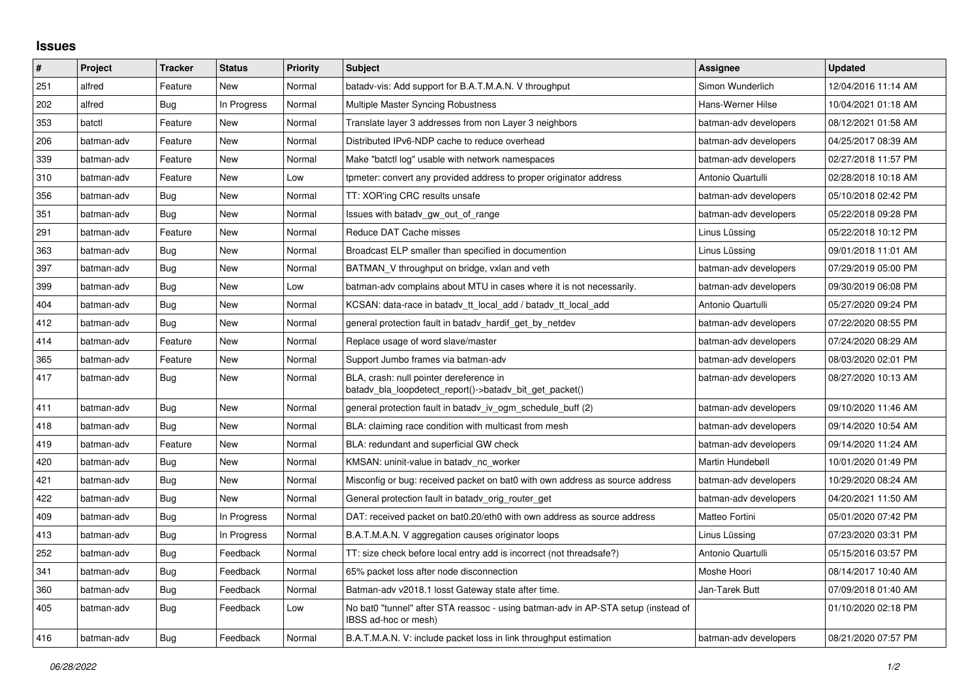## **Issues**

| $\vert$ # | Project    | <b>Tracker</b> | <b>Status</b> | Priority | <b>Subject</b>                                                                                            | Assignee              | <b>Updated</b>      |
|-----------|------------|----------------|---------------|----------|-----------------------------------------------------------------------------------------------------------|-----------------------|---------------------|
| 251       | alfred     | Feature        | <b>New</b>    | Normal   | batady-vis: Add support for B.A.T.M.A.N. V throughput                                                     | Simon Wunderlich      | 12/04/2016 11:14 AM |
| 202       | alfred     | <b>Bug</b>     | In Progress   | Normal   | Multiple Master Syncing Robustness                                                                        | Hans-Werner Hilse     | 10/04/2021 01:18 AM |
| 353       | batctl     | Feature        | New           | Normal   | Translate layer 3 addresses from non Layer 3 neighbors                                                    | batman-adv developers | 08/12/2021 01:58 AM |
| 206       | batman-adv | Feature        | New           | Normal   | Distributed IPv6-NDP cache to reduce overhead                                                             | batman-adv developers | 04/25/2017 08:39 AM |
| 339       | batman-adv | Feature        | New           | Normal   | Make "batctl log" usable with network namespaces                                                          | batman-adv developers | 02/27/2018 11:57 PM |
| 310       | batman-adv | Feature        | New           | Low      | tpmeter: convert any provided address to proper originator address                                        | Antonio Quartulli     | 02/28/2018 10:18 AM |
| 356       | batman-adv | Bug            | New           | Normal   | TT: XOR'ing CRC results unsafe                                                                            | batman-adv developers | 05/10/2018 02:42 PM |
| 351       | batman-adv | Bug            | New           | Normal   | Issues with batadv_gw_out_of_range                                                                        | batman-adv developers | 05/22/2018 09:28 PM |
| 291       | batman-adv | Feature        | New           | Normal   | Reduce DAT Cache misses                                                                                   | Linus Lüssing         | 05/22/2018 10:12 PM |
| 363       | batman-adv | Bug            | New           | Normal   | Broadcast ELP smaller than specified in documention                                                       | Linus Lüssing         | 09/01/2018 11:01 AM |
| 397       | batman-adv | Bug            | New           | Normal   | BATMAN V throughput on bridge, vxlan and veth                                                             | batman-adv developers | 07/29/2019 05:00 PM |
| 399       | batman-adv | Bug            | New           | Low      | batman-adv complains about MTU in cases where it is not necessarily.                                      | batman-adv developers | 09/30/2019 06:08 PM |
| 404       | batman-adv | Bug            | <b>New</b>    | Normal   | KCSAN: data-race in batadv_tt_local_add / batadv_tt_local_add                                             | Antonio Quartulli     | 05/27/2020 09:24 PM |
| 412       | batman-adv | Bug            | New           | Normal   | general protection fault in batady hardif get by netdev                                                   | batman-adv developers | 07/22/2020 08:55 PM |
| 414       | batman-adv | Feature        | New           | Normal   | Replace usage of word slave/master                                                                        | batman-adv developers | 07/24/2020 08:29 AM |
| 365       | batman-adv | Feature        | <b>New</b>    | Normal   | Support Jumbo frames via batman-adv                                                                       | batman-adv developers | 08/03/2020 02:01 PM |
| 417       | batman-adv | <b>Bug</b>     | New           | Normal   | BLA, crash: null pointer dereference in<br>batadv_bla_loopdetect_report()->batadv_bit_get_packet()        | batman-adv developers | 08/27/2020 10:13 AM |
| 411       | batman-adv | Bug            | New           | Normal   | general protection fault in batadv_iv_ogm_schedule_buff (2)                                               | batman-adv developers | 09/10/2020 11:46 AM |
| 418       | batman-adv | Bug            | New           | Normal   | BLA: claiming race condition with multicast from mesh                                                     | batman-adv developers | 09/14/2020 10:54 AM |
| 419       | batman-adv | Feature        | <b>New</b>    | Normal   | BLA: redundant and superficial GW check                                                                   | batman-adv developers | 09/14/2020 11:24 AM |
| 420       | batman-adv | <b>Bug</b>     | New           | Normal   | KMSAN: uninit-value in batady nc worker                                                                   | Martin Hundebøll      | 10/01/2020 01:49 PM |
| 421       | batman-adv | Bug            | New           | Normal   | Misconfig or bug: received packet on bat0 with own address as source address                              | batman-adv developers | 10/29/2020 08:24 AM |
| 422       | batman-adv | Bug            | <b>New</b>    | Normal   | General protection fault in batady orig router get                                                        | batman-adv developers | 04/20/2021 11:50 AM |
| 409       | batman-adv | <b>Bug</b>     | In Progress   | Normal   | DAT: received packet on bat0.20/eth0 with own address as source address                                   | Matteo Fortini        | 05/01/2020 07:42 PM |
| 413       | batman-adv | Bug            | In Progress   | Normal   | B.A.T.M.A.N. V aggregation causes originator loops                                                        | Linus Lüssing         | 07/23/2020 03:31 PM |
| 252       | batman-adv | Bug            | Feedback      | Normal   | TT: size check before local entry add is incorrect (not threadsafe?)                                      | Antonio Quartulli     | 05/15/2016 03:57 PM |
| 341       | batman-adv | <b>Bug</b>     | Feedback      | Normal   | 65% packet loss after node disconnection                                                                  | Moshe Hoori           | 08/14/2017 10:40 AM |
| 360       | batman-adv | Bug            | Feedback      | Normal   | Batman-adv v2018.1 losst Gateway state after time.                                                        | Jan-Tarek Butt        | 07/09/2018 01:40 AM |
| 405       | batman-adv | <b>Bug</b>     | Feedback      | Low      | No bat0 "tunnel" after STA reassoc - using batman-adv in AP-STA setup (instead of<br>IBSS ad-hoc or mesh) |                       | 01/10/2020 02:18 PM |
| 416       | batman-adv | Bug            | Feedback      | Normal   | B.A.T.M.A.N. V: include packet loss in link throughput estimation                                         | batman-adv developers | 08/21/2020 07:57 PM |